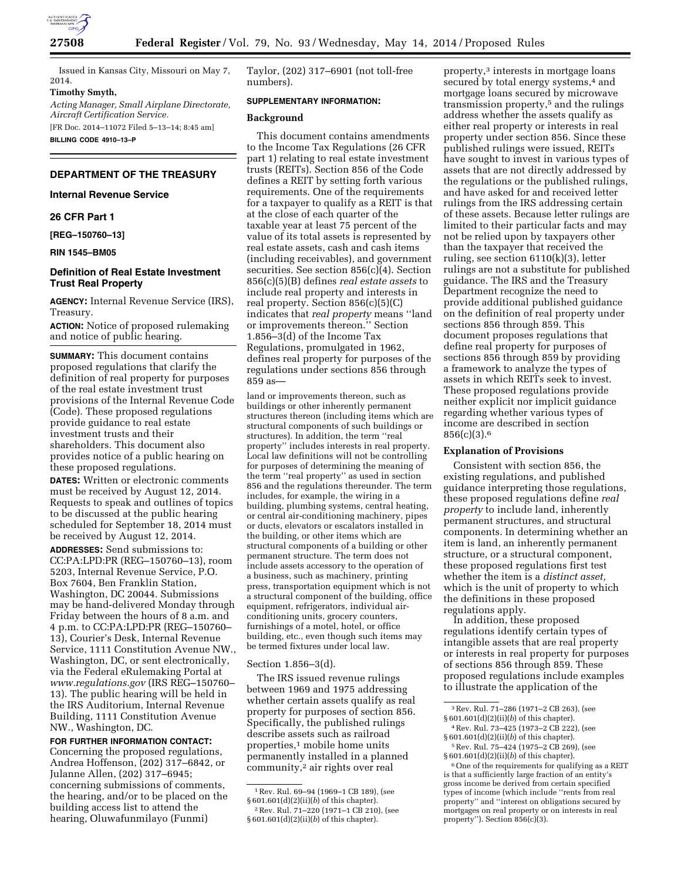

Issued in Kansas City, Missouri on May 7, 2014.

#### **Timothy Smyth,**

*Acting Manager, Small Airplane Directorate, Aircraft Certification Service.* 

[FR Doc. 2014–11072 Filed 5–13–14; 8:45 am] **BILLING CODE 4910–13–P** 

#### **DEPARTMENT OF THE TREASURY**

#### **Internal Revenue Service**

**26 CFR Part 1** 

**[REG–150760–13]** 

**RIN 1545–BM05** 

# **Definition of Real Estate Investment Trust Real Property**

**AGENCY:** Internal Revenue Service (IRS), Treasury.

**ACTION:** Notice of proposed rulemaking and notice of public hearing.

**SUMMARY:** This document contains proposed regulations that clarify the definition of real property for purposes of the real estate investment trust provisions of the Internal Revenue Code (Code). These proposed regulations provide guidance to real estate investment trusts and their shareholders. This document also provides notice of a public hearing on these proposed regulations.

**DATES:** Written or electronic comments must be received by August 12, 2014. Requests to speak and outlines of topics to be discussed at the public hearing scheduled for September 18, 2014 must be received by August 12, 2014.

**ADDRESSES:** Send submissions to: CC:PA:LPD:PR (REG–150760–13), room 5203, Internal Revenue Service, P.O. Box 7604, Ben Franklin Station, Washington, DC 20044. Submissions may be hand-delivered Monday through Friday between the hours of 8 a.m. and 4 p.m. to CC:PA:LPD:PR (REG–150760– 13), Courier's Desk, Internal Revenue Service, 1111 Constitution Avenue NW., Washington, DC, or sent electronically, via the Federal eRulemaking Portal at *[www.regulations.gov](http://www.regulations.gov)* (IRS REG–150760– 13). The public hearing will be held in the IRS Auditorium, Internal Revenue Building, 1111 Constitution Avenue NW., Washington, DC.

**FOR FURTHER INFORMATION CONTACT:** 

Concerning the proposed regulations, Andrea Hoffenson, (202) 317–6842, or Julanne Allen, (202) 317–6945; concerning submissions of comments, the hearing, and/or to be placed on the building access list to attend the hearing, Oluwafunmilayo (Funmi)

Taylor, (202) 317–6901 (not toll-free numbers).

#### **SUPPLEMENTARY INFORMATION:**

#### **Background**

This document contains amendments to the Income Tax Regulations (26 CFR part 1) relating to real estate investment trusts (REITs). Section 856 of the Code defines a REIT by setting forth various requirements. One of the requirements for a taxpayer to qualify as a REIT is that at the close of each quarter of the taxable year at least 75 percent of the value of its total assets is represented by real estate assets, cash and cash items (including receivables), and government securities. See section 856(c)(4). Section 856(c)(5)(B) defines *real estate assets* to include real property and interests in real property. Section 856(c)(5)(C) indicates that *real property* means ''land or improvements thereon.'' Section 1.856–3(d) of the Income Tax Regulations, promulgated in 1962, defines real property for purposes of the regulations under sections 856 through 859 as—

land or improvements thereon, such as buildings or other inherently permanent structures thereon (including items which are structural components of such buildings or structures). In addition, the term ''real property'' includes interests in real property. Local law definitions will not be controlling for purposes of determining the meaning of the term ''real property'' as used in section 856 and the regulations thereunder. The term includes, for example, the wiring in a building, plumbing systems, central heating, or central air-conditioning machinery, pipes or ducts, elevators or escalators installed in the building, or other items which are structural components of a building or other permanent structure. The term does not include assets accessory to the operation of a business, such as machinery, printing press, transportation equipment which is not a structural component of the building, office equipment, refrigerators, individual airconditioning units, grocery counters, furnishings of a motel, hotel, or office building, etc., even though such items may be termed fixtures under local law.

## Section 1.856–3(d).

The IRS issued revenue rulings between 1969 and 1975 addressing whether certain assets qualify as real property for purposes of section 856. Specifically, the published rulings describe assets such as railroad properties,<sup>1</sup> mobile home units permanently installed in a planned community,2 air rights over real

property,3 interests in mortgage loans secured by total energy systems,<sup>4</sup> and mortgage loans secured by microwave transmission property,<sup>5</sup> and the rulings address whether the assets qualify as either real property or interests in real property under section 856. Since these published rulings were issued, REITs have sought to invest in various types of assets that are not directly addressed by the regulations or the published rulings, and have asked for and received letter rulings from the IRS addressing certain of these assets. Because letter rulings are limited to their particular facts and may not be relied upon by taxpayers other than the taxpayer that received the ruling, see section 6110(k)(3), letter rulings are not a substitute for published guidance. The IRS and the Treasury Department recognize the need to provide additional published guidance on the definition of real property under sections 856 through 859. This document proposes regulations that define real property for purposes of sections 856 through 859 by providing a framework to analyze the types of assets in which REITs seek to invest. These proposed regulations provide neither explicit nor implicit guidance regarding whether various types of income are described in section  $856(c)(3).6$ 

# **Explanation of Provisions**

Consistent with section 856, the existing regulations, and published guidance interpreting those regulations, these proposed regulations define *real property* to include land, inherently permanent structures, and structural components. In determining whether an item is land, an inherently permanent structure, or a structural component, these proposed regulations first test whether the item is a *distinct asset,*  which is the unit of property to which the definitions in these proposed regulations apply.

In addition, these proposed regulations identify certain types of intangible assets that are real property or interests in real property for purposes of sections 856 through 859. These proposed regulations include examples to illustrate the application of the

6One of the requirements for qualifying as a REIT is that a sufficiently large fraction of an entity's gross income be derived from certain specified types of income (which include ''rents from real property'' and ''interest on obligations secured by mortgages on real property or on interests in real property''). Section 856(c)(3).

<sup>1</sup>Rev. Rul. 69–94 (1969–1 CB 189), (see § 601.601(d)(2)(ii)(*b*) of this chapter). 2Rev. Rul. 71–220 (1971–1 CB 210), (see

<sup>§ 601.601(</sup>d)(2)(ii)(*b*) of this chapter).

<sup>3</sup>Rev. Rul. 71–286 (1971–2 CB 263), (see § 601.601(d)(2)(ii)(*b*) of this chapter).

<sup>4</sup>Rev. Rul. 73–425 (1973–2 CB 222), (see § 601.601(d)(2)(ii)(*b*) of this chapter).

<sup>5</sup>Rev. Rul. 75–424 (1975–2 CB 269), (see § 601.601(d)(2)(ii)(*b*) of this chapter).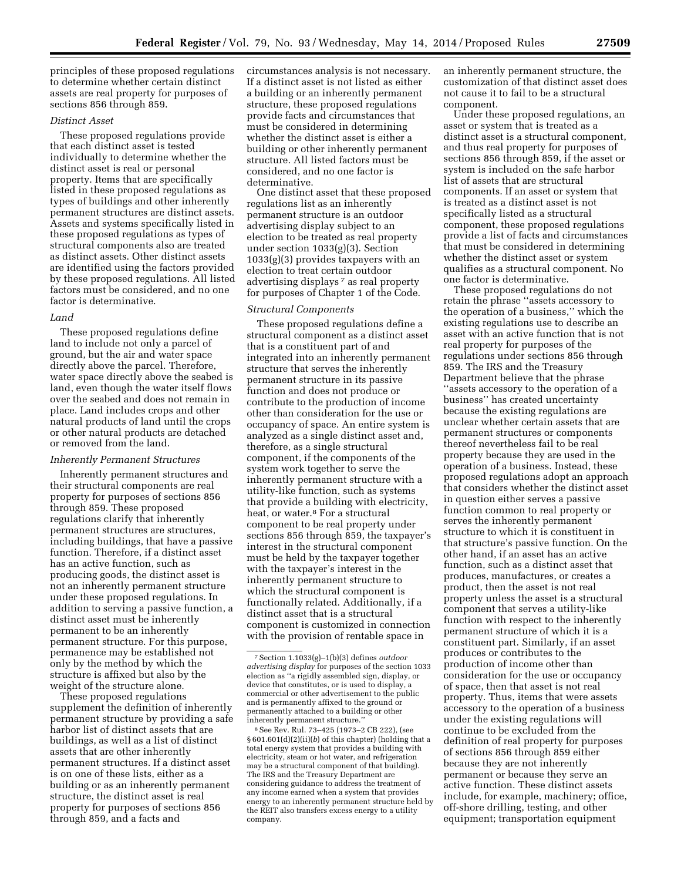principles of these proposed regulations to determine whether certain distinct assets are real property for purposes of sections 856 through 859.

### *Distinct Asset*

These proposed regulations provide that each distinct asset is tested individually to determine whether the distinct asset is real or personal property. Items that are specifically listed in these proposed regulations as types of buildings and other inherently permanent structures are distinct assets. Assets and systems specifically listed in these proposed regulations as types of structural components also are treated as distinct assets. Other distinct assets are identified using the factors provided by these proposed regulations. All listed factors must be considered, and no one factor is determinative.

#### *Land*

These proposed regulations define land to include not only a parcel of ground, but the air and water space directly above the parcel. Therefore, water space directly above the seabed is land, even though the water itself flows over the seabed and does not remain in place. Land includes crops and other natural products of land until the crops or other natural products are detached or removed from the land.

#### *Inherently Permanent Structures*

Inherently permanent structures and their structural components are real property for purposes of sections 856 through 859. These proposed regulations clarify that inherently permanent structures are structures, including buildings, that have a passive function. Therefore, if a distinct asset has an active function, such as producing goods, the distinct asset is not an inherently permanent structure under these proposed regulations. In addition to serving a passive function, a distinct asset must be inherently permanent to be an inherently permanent structure. For this purpose, permanence may be established not only by the method by which the structure is affixed but also by the weight of the structure alone.

These proposed regulations supplement the definition of inherently permanent structure by providing a safe harbor list of distinct assets that are buildings, as well as a list of distinct assets that are other inherently permanent structures. If a distinct asset is on one of these lists, either as a building or as an inherently permanent structure, the distinct asset is real property for purposes of sections 856 through 859, and a facts and

circumstances analysis is not necessary. If a distinct asset is not listed as either a building or an inherently permanent structure, these proposed regulations provide facts and circumstances that must be considered in determining whether the distinct asset is either a building or other inherently permanent structure. All listed factors must be considered, and no one factor is determinative.

One distinct asset that these proposed regulations list as an inherently permanent structure is an outdoor advertising display subject to an election to be treated as real property under section 1033(g)(3). Section 1033(g)(3) provides taxpayers with an election to treat certain outdoor advertising displays 7 as real property for purposes of Chapter 1 of the Code.

# *Structural Components*

These proposed regulations define a structural component as a distinct asset that is a constituent part of and integrated into an inherently permanent structure that serves the inherently permanent structure in its passive function and does not produce or contribute to the production of income other than consideration for the use or occupancy of space. An entire system is analyzed as a single distinct asset and, therefore, as a single structural component, if the components of the system work together to serve the inherently permanent structure with a utility-like function, such as systems that provide a building with electricity, heat, or water.<sup>8</sup> For a structural component to be real property under sections 856 through 859, the taxpayer's interest in the structural component must be held by the taxpayer together with the taxpayer's interest in the inherently permanent structure to which the structural component is functionally related. Additionally, if a distinct asset that is a structural component is customized in connection with the provision of rentable space in

8See Rev. Rul. 73–425 (1973–2 CB 222), (see § 601.601(d)(2)(ii)(b) of this chapter) (holding that a total energy system that provides a building with electricity, steam or hot water, and refrigeration may be a structural component of that building). The IRS and the Treasury Department are considering guidance to address the treatment of any income earned when a system that provides energy to an inherently permanent structure held by the REIT also transfers excess energy to a utility company.

an inherently permanent structure, the customization of that distinct asset does not cause it to fail to be a structural component.

Under these proposed regulations, an asset or system that is treated as a distinct asset is a structural component, and thus real property for purposes of sections 856 through 859, if the asset or system is included on the safe harbor list of assets that are structural components. If an asset or system that is treated as a distinct asset is not specifically listed as a structural component, these proposed regulations provide a list of facts and circumstances that must be considered in determining whether the distinct asset or system qualifies as a structural component. No one factor is determinative.

These proposed regulations do not retain the phrase ''assets accessory to the operation of a business,'' which the existing regulations use to describe an asset with an active function that is not real property for purposes of the regulations under sections 856 through 859. The IRS and the Treasury Department believe that the phrase ''assets accessory to the operation of a business'' has created uncertainty because the existing regulations are unclear whether certain assets that are permanent structures or components thereof nevertheless fail to be real property because they are used in the operation of a business. Instead, these proposed regulations adopt an approach that considers whether the distinct asset in question either serves a passive function common to real property or serves the inherently permanent structure to which it is constituent in that structure's passive function. On the other hand, if an asset has an active function, such as a distinct asset that produces, manufactures, or creates a product, then the asset is not real property unless the asset is a structural component that serves a utility-like function with respect to the inherently permanent structure of which it is a constituent part. Similarly, if an asset produces or contributes to the production of income other than consideration for the use or occupancy of space, then that asset is not real property. Thus, items that were assets accessory to the operation of a business under the existing regulations will continue to be excluded from the definition of real property for purposes of sections 856 through 859 either because they are not inherently permanent or because they serve an active function. These distinct assets include, for example, machinery; office, off-shore drilling, testing, and other equipment; transportation equipment

<sup>7</sup>Section 1.1033(g)–1(b)(3) defines *outdoor advertising display* for purposes of the section 1033 election as ''a rigidly assembled sign, display, or device that constitutes, or is used to display, a commercial or other advertisement to the public and is permanently affixed to the ground or permanently attached to a building or other inherently permanent structure.''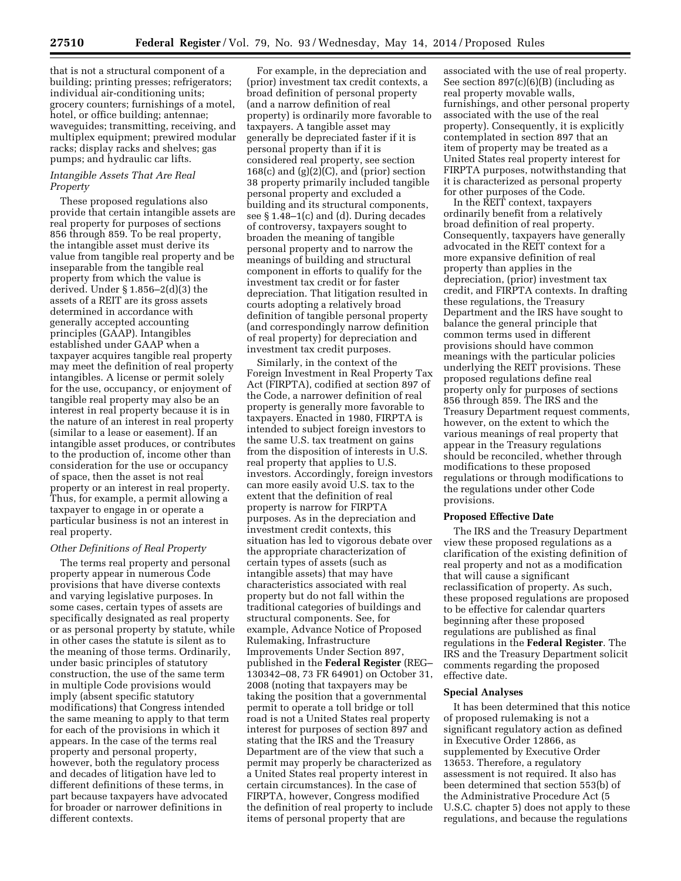that is not a structural component of a building; printing presses; refrigerators; individual air-conditioning units; grocery counters; furnishings of a motel, hotel, or office building; antennae; waveguides; transmitting, receiving, and multiplex equipment; prewired modular racks; display racks and shelves; gas pumps; and hydraulic car lifts.

# *Intangible Assets That Are Real Property*

These proposed regulations also provide that certain intangible assets are real property for purposes of sections 856 through 859. To be real property, the intangible asset must derive its value from tangible real property and be inseparable from the tangible real property from which the value is derived. Under § 1.856–2(d)(3) the assets of a REIT are its gross assets determined in accordance with generally accepted accounting principles (GAAP). Intangibles established under GAAP when a taxpayer acquires tangible real property may meet the definition of real property intangibles. A license or permit solely for the use, occupancy, or enjoyment of tangible real property may also be an interest in real property because it is in the nature of an interest in real property (similar to a lease or easement). If an intangible asset produces, or contributes to the production of, income other than consideration for the use or occupancy of space, then the asset is not real property or an interest in real property. Thus, for example, a permit allowing a taxpayer to engage in or operate a particular business is not an interest in real property.

#### *Other Definitions of Real Property*

The terms real property and personal property appear in numerous Code provisions that have diverse contexts and varying legislative purposes. In some cases, certain types of assets are specifically designated as real property or as personal property by statute, while in other cases the statute is silent as to the meaning of those terms. Ordinarily, under basic principles of statutory construction, the use of the same term in multiple Code provisions would imply (absent specific statutory modifications) that Congress intended the same meaning to apply to that term for each of the provisions in which it appears. In the case of the terms real property and personal property, however, both the regulatory process and decades of litigation have led to different definitions of these terms, in part because taxpayers have advocated for broader or narrower definitions in different contexts.

For example, in the depreciation and (prior) investment tax credit contexts, a broad definition of personal property (and a narrow definition of real property) is ordinarily more favorable to taxpayers. A tangible asset may generally be depreciated faster if it is personal property than if it is considered real property, see section  $168(c)$  and  $(g)(2)(C)$ , and (prior) section 38 property primarily included tangible personal property and excluded a building and its structural components, see § 1.48–1(c) and (d). During decades of controversy, taxpayers sought to broaden the meaning of tangible personal property and to narrow the meanings of building and structural component in efforts to qualify for the investment tax credit or for faster depreciation. That litigation resulted in courts adopting a relatively broad definition of tangible personal property (and correspondingly narrow definition of real property) for depreciation and investment tax credit purposes.

Similarly, in the context of the Foreign Investment in Real Property Tax Act (FIRPTA), codified at section 897 of the Code, a narrower definition of real property is generally more favorable to taxpayers. Enacted in 1980, FIRPTA is intended to subject foreign investors to the same U.S. tax treatment on gains from the disposition of interests in U.S. real property that applies to U.S. investors. Accordingly, foreign investors can more easily avoid U.S. tax to the extent that the definition of real property is narrow for FIRPTA purposes. As in the depreciation and investment credit contexts, this situation has led to vigorous debate over the appropriate characterization of certain types of assets (such as intangible assets) that may have characteristics associated with real property but do not fall within the traditional categories of buildings and structural components. See, for example, Advance Notice of Proposed Rulemaking, Infrastructure Improvements Under Section 897, published in the **Federal Register** (REG– 130342–08, 73 FR 64901) on October 31, 2008 (noting that taxpayers may be taking the position that a governmental permit to operate a toll bridge or toll road is not a United States real property interest for purposes of section 897 and stating that the IRS and the Treasury Department are of the view that such a permit may properly be characterized as a United States real property interest in certain circumstances). In the case of FIRPTA, however, Congress modified the definition of real property to include items of personal property that are

associated with the use of real property. See section 897(c)(6)(B) (including as real property movable walls, furnishings, and other personal property associated with the use of the real property). Consequently, it is explicitly contemplated in section 897 that an item of property may be treated as a United States real property interest for FIRPTA purposes, notwithstanding that it is characterized as personal property for other purposes of the Code.

In the REIT context, taxpayers ordinarily benefit from a relatively broad definition of real property. Consequently, taxpayers have generally advocated in the REIT context for a more expansive definition of real property than applies in the depreciation, (prior) investment tax credit, and FIRPTA contexts. In drafting these regulations, the Treasury Department and the IRS have sought to balance the general principle that common terms used in different provisions should have common meanings with the particular policies underlying the REIT provisions. These proposed regulations define real property only for purposes of sections 856 through 859. The IRS and the Treasury Department request comments, however, on the extent to which the various meanings of real property that appear in the Treasury regulations should be reconciled, whether through modifications to these proposed regulations or through modifications to the regulations under other Code provisions.

#### **Proposed Effective Date**

The IRS and the Treasury Department view these proposed regulations as a clarification of the existing definition of real property and not as a modification that will cause a significant reclassification of property. As such, these proposed regulations are proposed to be effective for calendar quarters beginning after these proposed regulations are published as final regulations in the **Federal Register**. The IRS and the Treasury Department solicit comments regarding the proposed effective date.

#### **Special Analyses**

It has been determined that this notice of proposed rulemaking is not a significant regulatory action as defined in Executive Order 12866, as supplemented by Executive Order 13653. Therefore, a regulatory assessment is not required. It also has been determined that section 553(b) of the Administrative Procedure Act (5 U.S.C. chapter 5) does not apply to these regulations, and because the regulations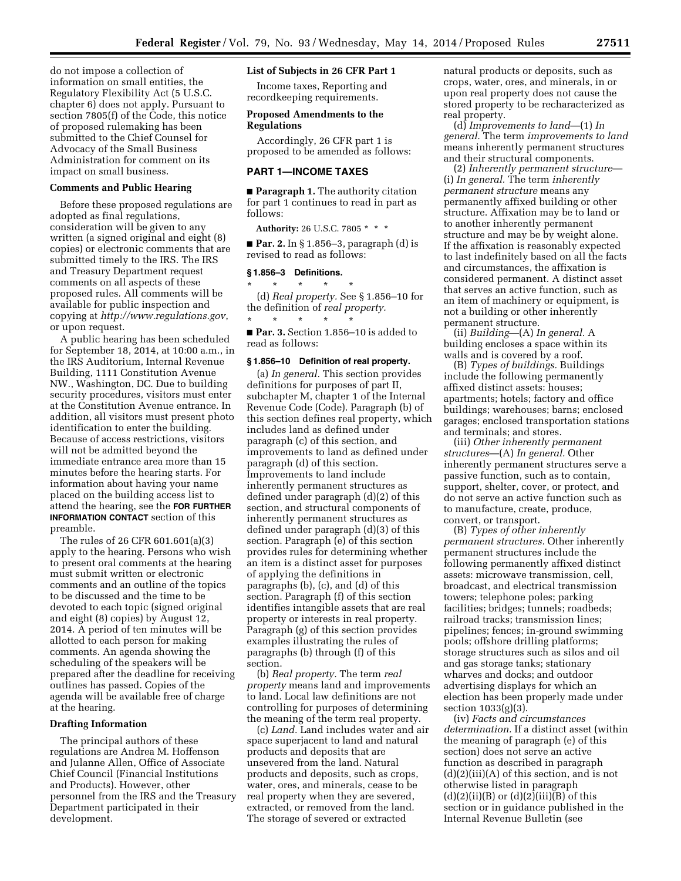do not impose a collection of information on small entities, the Regulatory Flexibility Act (5 U.S.C. chapter 6) does not apply. Pursuant to section 7805(f) of the Code, this notice of proposed rulemaking has been submitted to the Chief Counsel for Advocacy of the Small Business Administration for comment on its impact on small business.

#### **Comments and Public Hearing**

Before these proposed regulations are adopted as final regulations, consideration will be given to any written (a signed original and eight (8) copies) or electronic comments that are submitted timely to the IRS. The IRS and Treasury Department request comments on all aspects of these proposed rules. All comments will be available for public inspection and copying at *<http://www.regulations.gov>*, or upon request.

A public hearing has been scheduled for September 18, 2014, at 10:00 a.m., in the IRS Auditorium, Internal Revenue Building, 1111 Constitution Avenue NW., Washington, DC. Due to building security procedures, visitors must enter at the Constitution Avenue entrance. In addition, all visitors must present photo identification to enter the building. Because of access restrictions, visitors will not be admitted beyond the immediate entrance area more than 15 minutes before the hearing starts. For information about having your name placed on the building access list to attend the hearing, see the **FOR FURTHER INFORMATION CONTACT** section of this preamble.

The rules of 26 CFR 601.601(a)(3) apply to the hearing. Persons who wish to present oral comments at the hearing must submit written or electronic comments and an outline of the topics to be discussed and the time to be devoted to each topic (signed original and eight (8) copies) by August 12, 2014. A period of ten minutes will be allotted to each person for making comments. An agenda showing the scheduling of the speakers will be prepared after the deadline for receiving outlines has passed. Copies of the agenda will be available free of charge at the hearing.

#### **Drafting Information**

The principal authors of these regulations are Andrea M. Hoffenson and Julanne Allen, Office of Associate Chief Council (Financial Institutions and Products). However, other personnel from the IRS and the Treasury Department participated in their development.

## **List of Subjects in 26 CFR Part 1**

Income taxes, Reporting and recordkeeping requirements.

#### **Proposed Amendments to the Regulations**

Accordingly, 26 CFR part 1 is proposed to be amended as follows:

# **PART 1—INCOME TAXES**

■ **Paragraph 1.** The authority citation for part 1 continues to read in part as follows:

**Authority:** 26 U.S.C. 7805 \* \* \*

■ **Par. 2.** In § 1.856–3, paragraph (d) is revised to read as follows:

#### **§ 1.856–3 Definitions.**

\* \* \* \* \* (d) *Real property.* See § 1.856–10 for the definition of *real property.* 

\* \* \* \* \* ■ **Par. 3.** Section 1.856–10 is added to read as follows:

## **§ 1.856–10 Definition of real property.**

(a) *In general.* This section provides definitions for purposes of part II, subchapter M, chapter 1 of the Internal Revenue Code (Code). Paragraph (b) of this section defines real property, which includes land as defined under paragraph (c) of this section, and improvements to land as defined under paragraph (d) of this section. Improvements to land include inherently permanent structures as defined under paragraph (d)(2) of this section, and structural components of inherently permanent structures as defined under paragraph (d)(3) of this section. Paragraph (e) of this section provides rules for determining whether an item is a distinct asset for purposes of applying the definitions in paragraphs (b), (c), and (d) of this section. Paragraph (f) of this section identifies intangible assets that are real property or interests in real property. Paragraph (g) of this section provides examples illustrating the rules of paragraphs (b) through (f) of this section.

(b) *Real property.* The term *real property* means land and improvements to land. Local law definitions are not controlling for purposes of determining the meaning of the term real property.

(c) *Land.* Land includes water and air space superjacent to land and natural products and deposits that are unsevered from the land. Natural products and deposits, such as crops, water, ores, and minerals, cease to be real property when they are severed, extracted, or removed from the land. The storage of severed or extracted

natural products or deposits, such as crops, water, ores, and minerals, in or upon real property does not cause the stored property to be recharacterized as real property.

(d) *Improvements to land*—(1) *In general.* The term *improvements to land*  means inherently permanent structures and their structural components.

(2) *Inherently permanent structure*— (i) *In general.* The term *inherently permanent structure* means any permanently affixed building or other structure. Affixation may be to land or to another inherently permanent structure and may be by weight alone. If the affixation is reasonably expected to last indefinitely based on all the facts and circumstances, the affixation is considered permanent. A distinct asset that serves an active function, such as an item of machinery or equipment, is not a building or other inherently permanent structure.

(ii) *Building*—(A) *In general.* A building encloses a space within its walls and is covered by a roof.

(B) *Types of buildings.* Buildings include the following permanently affixed distinct assets: houses; apartments; hotels; factory and office buildings; warehouses; barns; enclosed garages; enclosed transportation stations and terminals; and stores.

(iii) *Other inherently permanent structures*—(A) *In general.* Other inherently permanent structures serve a passive function, such as to contain, support, shelter, cover, or protect, and do not serve an active function such as to manufacture, create, produce, convert, or transport.

(B) *Types of other inherently permanent structures.* Other inherently permanent structures include the following permanently affixed distinct assets: microwave transmission, cell, broadcast, and electrical transmission towers; telephone poles; parking facilities; bridges; tunnels; roadbeds; railroad tracks; transmission lines; pipelines; fences; in-ground swimming pools; offshore drilling platforms; storage structures such as silos and oil and gas storage tanks; stationary wharves and docks; and outdoor advertising displays for which an election has been properly made under section 1033(g)(3).

(iv) *Facts and circumstances determination.* If a distinct asset (within the meaning of paragraph (e) of this section) does not serve an active function as described in paragraph (d)(2)(iii)(A) of this section, and is not otherwise listed in paragraph  $(d)(2)(ii)(B)$  or  $(d)(2)(iii)(B)$  of this section or in guidance published in the Internal Revenue Bulletin (see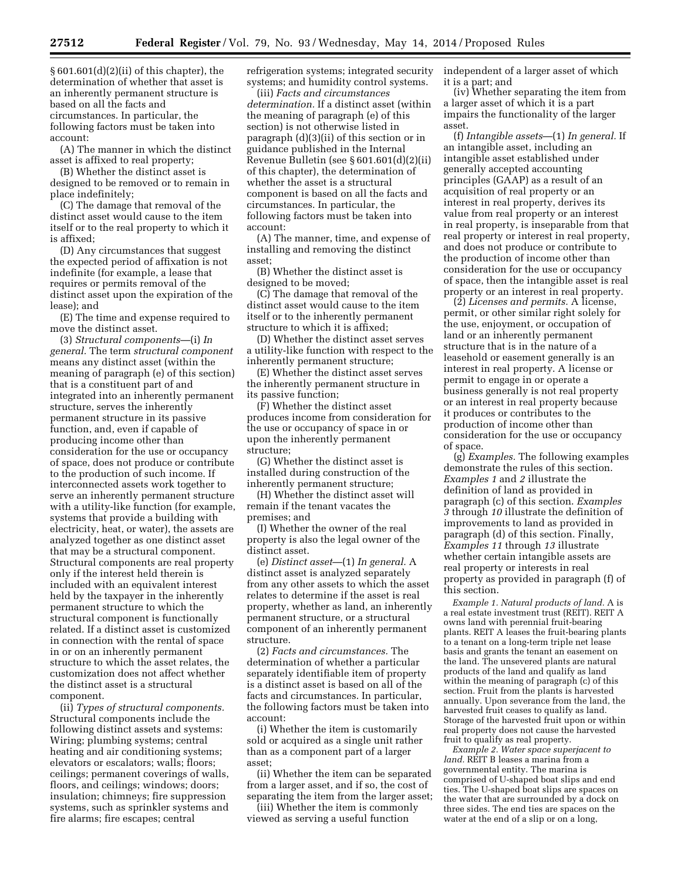$§ 601.601(d)(2)(ii)$  of this chapter), the determination of whether that asset is an inherently permanent structure is based on all the facts and circumstances. In particular, the following factors must be taken into account:

(A) The manner in which the distinct asset is affixed to real property;

(B) Whether the distinct asset is designed to be removed or to remain in place indefinitely;

(C) The damage that removal of the distinct asset would cause to the item itself or to the real property to which it is affixed;

(D) Any circumstances that suggest the expected period of affixation is not indefinite (for example, a lease that requires or permits removal of the distinct asset upon the expiration of the lease); and

(E) The time and expense required to move the distinct asset.

(3) *Structural components*—(i) *In general.* The term *structural component*  means any distinct asset (within the meaning of paragraph (e) of this section) that is a constituent part of and integrated into an inherently permanent structure, serves the inherently permanent structure in its passive function, and, even if capable of producing income other than consideration for the use or occupancy of space, does not produce or contribute to the production of such income. If interconnected assets work together to serve an inherently permanent structure with a utility-like function (for example, systems that provide a building with electricity, heat, or water), the assets are analyzed together as one distinct asset that may be a structural component. Structural components are real property only if the interest held therein is included with an equivalent interest held by the taxpayer in the inherently permanent structure to which the structural component is functionally related. If a distinct asset is customized in connection with the rental of space in or on an inherently permanent structure to which the asset relates, the customization does not affect whether the distinct asset is a structural component.

(ii) *Types of structural components.*  Structural components include the following distinct assets and systems: Wiring; plumbing systems; central heating and air conditioning systems; elevators or escalators; walls; floors; ceilings; permanent coverings of walls, floors, and ceilings; windows; doors; insulation; chimneys; fire suppression systems, such as sprinkler systems and fire alarms; fire escapes; central

refrigeration systems; integrated security systems; and humidity control systems.

(iii) *Facts and circumstances determination.* If a distinct asset (within the meaning of paragraph (e) of this section) is not otherwise listed in paragraph (d)(3)(ii) of this section or in guidance published in the Internal Revenue Bulletin (see § 601.601(d)(2)(ii) of this chapter), the determination of whether the asset is a structural component is based on all the facts and circumstances. In particular, the following factors must be taken into account:

(A) The manner, time, and expense of installing and removing the distinct asset;

(B) Whether the distinct asset is designed to be moved;

(C) The damage that removal of the distinct asset would cause to the item itself or to the inherently permanent structure to which it is affixed;

(D) Whether the distinct asset serves a utility-like function with respect to the inherently permanent structure;

(E) Whether the distinct asset serves the inherently permanent structure in its passive function;

(F) Whether the distinct asset produces income from consideration for the use or occupancy of space in or upon the inherently permanent structure;

(G) Whether the distinct asset is installed during construction of the inherently permanent structure;

(H) Whether the distinct asset will remain if the tenant vacates the premises; and

(I) Whether the owner of the real property is also the legal owner of the distinct asset.

(e) *Distinct asset*—(1) *In general.* A distinct asset is analyzed separately from any other assets to which the asset relates to determine if the asset is real property, whether as land, an inherently permanent structure, or a structural component of an inherently permanent structure.

(2) *Facts and circumstances.* The determination of whether a particular separately identifiable item of property is a distinct asset is based on all of the facts and circumstances. In particular, the following factors must be taken into account:

(i) Whether the item is customarily sold or acquired as a single unit rather than as a component part of a larger asset;

(ii) Whether the item can be separated from a larger asset, and if so, the cost of separating the item from the larger asset;

(iii) Whether the item is commonly viewed as serving a useful function

independent of a larger asset of which it is a part; and

(iv) Whether separating the item from a larger asset of which it is a part impairs the functionality of the larger asset.

(f) *Intangible assets*—(1) *In general.* If an intangible asset, including an intangible asset established under generally accepted accounting principles (GAAP) as a result of an acquisition of real property or an interest in real property, derives its value from real property or an interest in real property, is inseparable from that real property or interest in real property, and does not produce or contribute to the production of income other than consideration for the use or occupancy of space, then the intangible asset is real property or an interest in real property.

(2) *Licenses and permits.* A license, permit, or other similar right solely for the use, enjoyment, or occupation of land or an inherently permanent structure that is in the nature of a leasehold or easement generally is an interest in real property. A license or permit to engage in or operate a business generally is not real property or an interest in real property because it produces or contributes to the production of income other than consideration for the use or occupancy of space.

(g) *Examples.* The following examples demonstrate the rules of this section. *Examples 1* and *2* illustrate the definition of land as provided in paragraph (c) of this section. *Examples 3* through *10* illustrate the definition of improvements to land as provided in paragraph (d) of this section. Finally, *Examples 11* through *13* illustrate whether certain intangible assets are real property or interests in real property as provided in paragraph (f) of this section.

*Example 1. Natural products of land.* A is a real estate investment trust (REIT). REIT A owns land with perennial fruit-bearing plants. REIT A leases the fruit-bearing plants to a tenant on a long-term triple net lease basis and grants the tenant an easement on the land. The unsevered plants are natural products of the land and qualify as land within the meaning of paragraph (c) of this section. Fruit from the plants is harvested annually. Upon severance from the land, the harvested fruit ceases to qualify as land. Storage of the harvested fruit upon or within real property does not cause the harvested fruit to qualify as real property.

*Example 2. Water space superjacent to land.* REIT B leases a marina from a governmental entity. The marina is comprised of U-shaped boat slips and end ties. The U-shaped boat slips are spaces on the water that are surrounded by a dock on three sides. The end ties are spaces on the water at the end of a slip or on a long,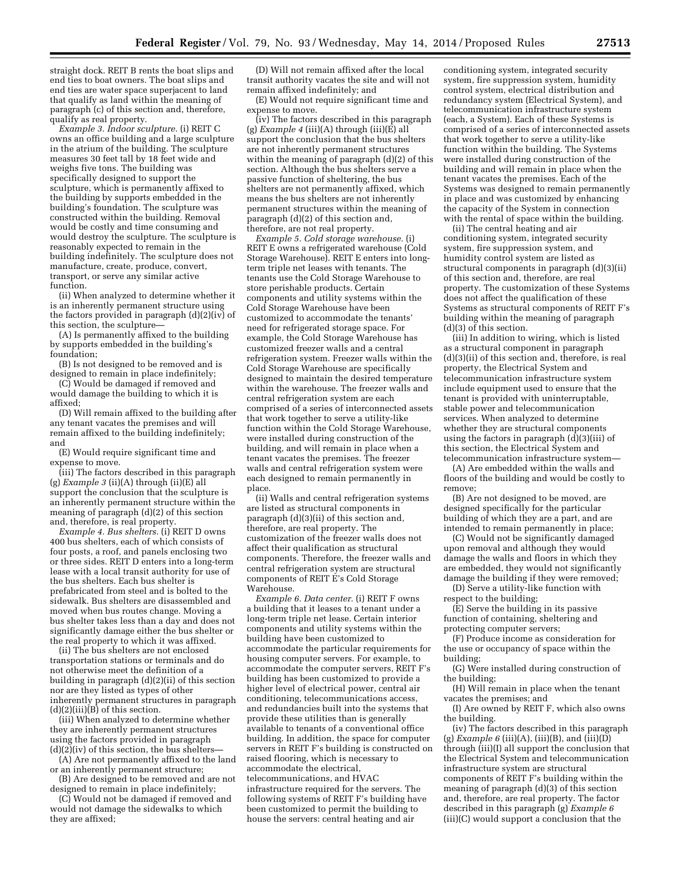straight dock. REIT B rents the boat slips and end ties to boat owners. The boat slips and end ties are water space superjacent to land that qualify as land within the meaning of paragraph (c) of this section and, therefore, qualify as real property.

*Example 3. Indoor sculpture.* (i) REIT C owns an office building and a large sculpture in the atrium of the building. The sculpture measures 30 feet tall by 18 feet wide and weighs five tons. The building was specifically designed to support the sculpture, which is permanently affixed to the building by supports embedded in the building's foundation. The sculpture was constructed within the building. Removal would be costly and time consuming and would destroy the sculpture. The sculpture is reasonably expected to remain in the building indefinitely. The sculpture does not manufacture, create, produce, convert, transport, or serve any similar active function.

(ii) When analyzed to determine whether it is an inherently permanent structure using the factors provided in paragraph (d)(2)(iv) of this section, the sculpture—

(A) Is permanently affixed to the building by supports embedded in the building's foundation;

(B) Is not designed to be removed and is designed to remain in place indefinitely;

(C) Would be damaged if removed and would damage the building to which it is affixed;

(D) Will remain affixed to the building after any tenant vacates the premises and will remain affixed to the building indefinitely; and

(E) Would require significant time and expense to move.

(iii) The factors described in this paragraph (g) *Example 3* (ii)(A) through (ii)(E) all support the conclusion that the sculpture is an inherently permanent structure within the meaning of paragraph (d)(2) of this section and, therefore, is real property.

*Example 4. Bus shelters.* (i) REIT D owns 400 bus shelters, each of which consists of four posts, a roof, and panels enclosing two or three sides. REIT D enters into a long-term lease with a local transit authority for use of the bus shelters. Each bus shelter is prefabricated from steel and is bolted to the sidewalk. Bus shelters are disassembled and moved when bus routes change. Moving a bus shelter takes less than a day and does not significantly damage either the bus shelter or the real property to which it was affixed.

(ii) The bus shelters are not enclosed transportation stations or terminals and do not otherwise meet the definition of a building in paragraph (d)(2)(ii) of this section nor are they listed as types of other inherently permanent structures in paragraph  $(d)(2)(iii)(B)$  of this section.

(iii) When analyzed to determine whether they are inherently permanent structures using the factors provided in paragraph  $(d)(2)(iv)$  of this section, the bus shelters-

(A) Are not permanently affixed to the land or an inherently permanent structure;

(B) Are designed to be removed and are not designed to remain in place indefinitely;

(C) Would not be damaged if removed and would not damage the sidewalks to which they are affixed;

(D) Will not remain affixed after the local transit authority vacates the site and will not remain affixed indefinitely; and

(E) Would not require significant time and expense to move.

(iv) The factors described in this paragraph (g) *Example 4* (iii)(A) through (iii)(E) all support the conclusion that the bus shelters are not inherently permanent structures within the meaning of paragraph (d)(2) of this section. Although the bus shelters serve a passive function of sheltering, the bus shelters are not permanently affixed, which means the bus shelters are not inherently permanent structures within the meaning of paragraph (d)(2) of this section and, therefore, are not real property.

*Example 5. Cold storage warehouse.* (i) REIT E owns a refrigerated warehouse (Cold Storage Warehouse). REIT E enters into longterm triple net leases with tenants. The tenants use the Cold Storage Warehouse to store perishable products. Certain components and utility systems within the Cold Storage Warehouse have been customized to accommodate the tenants' need for refrigerated storage space. For example, the Cold Storage Warehouse has customized freezer walls and a central refrigeration system. Freezer walls within the Cold Storage Warehouse are specifically designed to maintain the desired temperature within the warehouse. The freezer walls and central refrigeration system are each comprised of a series of interconnected assets that work together to serve a utility-like function within the Cold Storage Warehouse, were installed during construction of the building, and will remain in place when a tenant vacates the premises. The freezer walls and central refrigeration system were each designed to remain permanently in place.

(ii) Walls and central refrigeration systems are listed as structural components in paragraph (d)(3)(ii) of this section and, therefore, are real property. The customization of the freezer walls does not affect their qualification as structural components. Therefore, the freezer walls and central refrigeration system are structural components of REIT E's Cold Storage Warehouse.

*Example 6. Data center.* (i) REIT F owns a building that it leases to a tenant under a long-term triple net lease. Certain interior components and utility systems within the building have been customized to accommodate the particular requirements for housing computer servers. For example, to accommodate the computer servers, REIT F's building has been customized to provide a higher level of electrical power, central air conditioning, telecommunications access, and redundancies built into the systems that provide these utilities than is generally available to tenants of a conventional office building. In addition, the space for computer servers in REIT F's building is constructed on raised flooring, which is necessary to accommodate the electrical, telecommunications, and HVAC infrastructure required for the servers. The following systems of REIT F's building have been customized to permit the building to house the servers: central heating and air

conditioning system, integrated security system, fire suppression system, humidity control system, electrical distribution and redundancy system (Electrical System), and telecommunication infrastructure system (each, a System). Each of these Systems is comprised of a series of interconnected assets that work together to serve a utility-like function within the building. The Systems were installed during construction of the building and will remain in place when the tenant vacates the premises. Each of the Systems was designed to remain permanently in place and was customized by enhancing the capacity of the System in connection with the rental of space within the building.

(ii) The central heating and air conditioning system, integrated security system, fire suppression system, and humidity control system are listed as structural components in paragraph (d)(3)(ii) of this section and, therefore, are real property. The customization of these Systems does not affect the qualification of these Systems as structural components of REIT F's building within the meaning of paragraph  $(d)(3)$  of this section.

(iii) In addition to wiring, which is listed as a structural component in paragraph (d)(3)(ii) of this section and, therefore, is real property, the Electrical System and telecommunication infrastructure system include equipment used to ensure that the tenant is provided with uninterruptable, stable power and telecommunication services. When analyzed to determine whether they are structural components using the factors in paragraph  $(d)(3)(iii)$  of this section, the Electrical System and telecommunication infrastructure system—

(A) Are embedded within the walls and floors of the building and would be costly to remove;

(B) Are not designed to be moved, are designed specifically for the particular building of which they are a part, and are intended to remain permanently in place;

(C) Would not be significantly damaged upon removal and although they would damage the walls and floors in which they are embedded, they would not significantly damage the building if they were removed; (D) Serve a utility-like function with

respect to the building;

(E) Serve the building in its passive function of containing, sheltering and protecting computer servers;

(F) Produce income as consideration for the use or occupancy of space within the building;

(G) Were installed during construction of the building;

(H) Will remain in place when the tenant vacates the premises; and

(I) Are owned by REIT F, which also owns the building.

(iv) The factors described in this paragraph (g) *Example 6* (iii)(A), (iii)(B), and (iii)(D) through (iii)(I) all support the conclusion that the Electrical System and telecommunication infrastructure system are structural components of REIT F's building within the meaning of paragraph (d)(3) of this section and, therefore, are real property. The factor described in this paragraph (g) *Example 6*  (iii)(C) would support a conclusion that the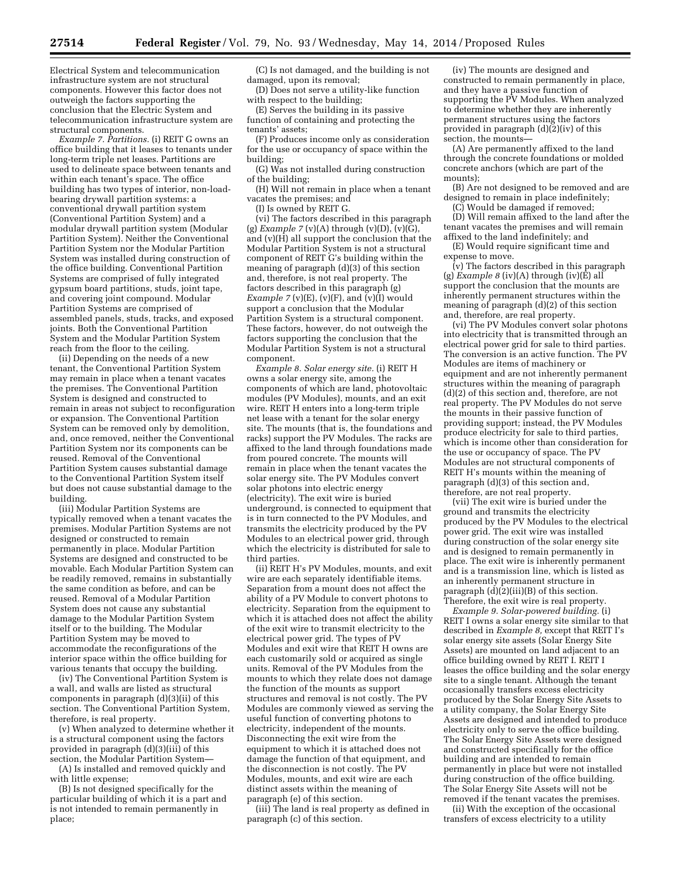Electrical System and telecommunication infrastructure system are not structural components. However this factor does not outweigh the factors supporting the conclusion that the Electric System and telecommunication infrastructure system are structural components.

*Example 7. Partitions.* (i) REIT G owns an office building that it leases to tenants under long-term triple net leases. Partitions are used to delineate space between tenants and within each tenant's space. The office building has two types of interior, non-loadbearing drywall partition systems: a conventional drywall partition system (Conventional Partition System) and a modular drywall partition system (Modular Partition System). Neither the Conventional Partition System nor the Modular Partition System was installed during construction of the office building. Conventional Partition Systems are comprised of fully integrated gypsum board partitions, studs, joint tape, and covering joint compound. Modular Partition Systems are comprised of assembled panels, studs, tracks, and exposed joints. Both the Conventional Partition System and the Modular Partition System reach from the floor to the ceiling.

(ii) Depending on the needs of a new tenant, the Conventional Partition System may remain in place when a tenant vacates the premises. The Conventional Partition System is designed and constructed to remain in areas not subject to reconfiguration or expansion. The Conventional Partition System can be removed only by demolition, and, once removed, neither the Conventional Partition System nor its components can be reused. Removal of the Conventional Partition System causes substantial damage to the Conventional Partition System itself but does not cause substantial damage to the building.

(iii) Modular Partition Systems are typically removed when a tenant vacates the premises. Modular Partition Systems are not designed or constructed to remain permanently in place. Modular Partition Systems are designed and constructed to be movable. Each Modular Partition System can be readily removed, remains in substantially the same condition as before, and can be reused. Removal of a Modular Partition System does not cause any substantial damage to the Modular Partition System itself or to the building. The Modular Partition System may be moved to accommodate the reconfigurations of the interior space within the office building for various tenants that occupy the building.

(iv) The Conventional Partition System is a wall, and walls are listed as structural components in paragraph (d)(3)(ii) of this section. The Conventional Partition System, therefore, is real property.

(v) When analyzed to determine whether it is a structural component using the factors provided in paragraph (d)(3)(iii) of this section, the Modular Partition System—

(A) Is installed and removed quickly and with little expense;

(B) Is not designed specifically for the particular building of which it is a part and is not intended to remain permanently in place;

(C) Is not damaged, and the building is not damaged, upon its removal;

(D) Does not serve a utility-like function with respect to the building;

(E) Serves the building in its passive function of containing and protecting the tenants' assets;

(F) Produces income only as consideration for the use or occupancy of space within the building;

(G) Was not installed during construction of the building;

(H) Will not remain in place when a tenant vacates the premises; and

(I) Is owned by REIT G.

(vi) The factors described in this paragraph (g) *Example 7* (v)(A) through (v)(D), (v)(G), and (v)(H) all support the conclusion that the Modular Partition System is not a structural component of REIT G's building within the meaning of paragraph (d)(3) of this section and, therefore, is not real property. The factors described in this paragraph (g) *Example 7* (v)(E), (v)(F), and (v)(I) would support a conclusion that the Modular Partition System is a structural component. These factors, however, do not outweigh the factors supporting the conclusion that the Modular Partition System is not a structural component.

*Example 8. Solar energy site.* (i) REIT H owns a solar energy site, among the components of which are land, photovoltaic modules (PV Modules), mounts, and an exit wire. REIT H enters into a long-term triple net lease with a tenant for the solar energy site. The mounts (that is, the foundations and racks) support the PV Modules. The racks are affixed to the land through foundations made from poured concrete. The mounts will remain in place when the tenant vacates the solar energy site. The PV Modules convert solar photons into electric energy (electricity). The exit wire is buried underground, is connected to equipment that is in turn connected to the PV Modules, and transmits the electricity produced by the PV Modules to an electrical power grid, through which the electricity is distributed for sale to third parties.

(ii) REIT H's PV Modules, mounts, and exit wire are each separately identifiable items. Separation from a mount does not affect the ability of a PV Module to convert photons to electricity. Separation from the equipment to which it is attached does not affect the ability of the exit wire to transmit electricity to the electrical power grid. The types of PV Modules and exit wire that REIT H owns are each customarily sold or acquired as single units. Removal of the PV Modules from the mounts to which they relate does not damage the function of the mounts as support structures and removal is not costly. The PV Modules are commonly viewed as serving the useful function of converting photons to electricity, independent of the mounts. Disconnecting the exit wire from the equipment to which it is attached does not damage the function of that equipment, and the disconnection is not costly. The PV Modules, mounts, and exit wire are each distinct assets within the meaning of paragraph (e) of this section.

(iii) The land is real property as defined in paragraph (c) of this section.

(iv) The mounts are designed and constructed to remain permanently in place, and they have a passive function of supporting the PV Modules. When analyzed to determine whether they are inherently permanent structures using the factors provided in paragraph (d)(2)(iv) of this section, the mounts-

(A) Are permanently affixed to the land through the concrete foundations or molded concrete anchors (which are part of the mounts);

(B) Are not designed to be removed and are designed to remain in place indefinitely;

(C) Would be damaged if removed;

(D) Will remain affixed to the land after the tenant vacates the premises and will remain affixed to the land indefinitely; and

(E) Would require significant time and expense to move.

(v) The factors described in this paragraph (g) *Example 8* (iv)(A) through (iv)(E) all support the conclusion that the mounts are inherently permanent structures within the meaning of paragraph (d)(2) of this section and, therefore, are real property.

(vi) The PV Modules convert solar photons into electricity that is transmitted through an electrical power grid for sale to third parties. The conversion is an active function. The PV Modules are items of machinery or equipment and are not inherently permanent structures within the meaning of paragraph (d)(2) of this section and, therefore, are not real property. The PV Modules do not serve the mounts in their passive function of providing support; instead, the PV Modules produce electricity for sale to third parties, which is income other than consideration for the use or occupancy of space. The PV Modules are not structural components of REIT H's mounts within the meaning of paragraph (d)(3) of this section and, therefore, are not real property.

(vii) The exit wire is buried under the ground and transmits the electricity produced by the PV Modules to the electrical power grid. The exit wire was installed during construction of the solar energy site and is designed to remain permanently in place. The exit wire is inherently permanent and is a transmission line, which is listed as an inherently permanent structure in paragraph (d)(2)(iii)(B) of this section. Therefore, the exit wire is real property.

*Example 9. Solar-powered building.* (i) REIT I owns a solar energy site similar to that described in *Example 8,* except that REIT I's solar energy site assets (Solar Energy Site Assets) are mounted on land adjacent to an office building owned by REIT I. REIT I leases the office building and the solar energy site to a single tenant. Although the tenant occasionally transfers excess electricity produced by the Solar Energy Site Assets to a utility company, the Solar Energy Site Assets are designed and intended to produce electricity only to serve the office building. The Solar Energy Site Assets were designed and constructed specifically for the office building and are intended to remain permanently in place but were not installed during construction of the office building. The Solar Energy Site Assets will not be removed if the tenant vacates the premises.

(ii) With the exception of the occasional transfers of excess electricity to a utility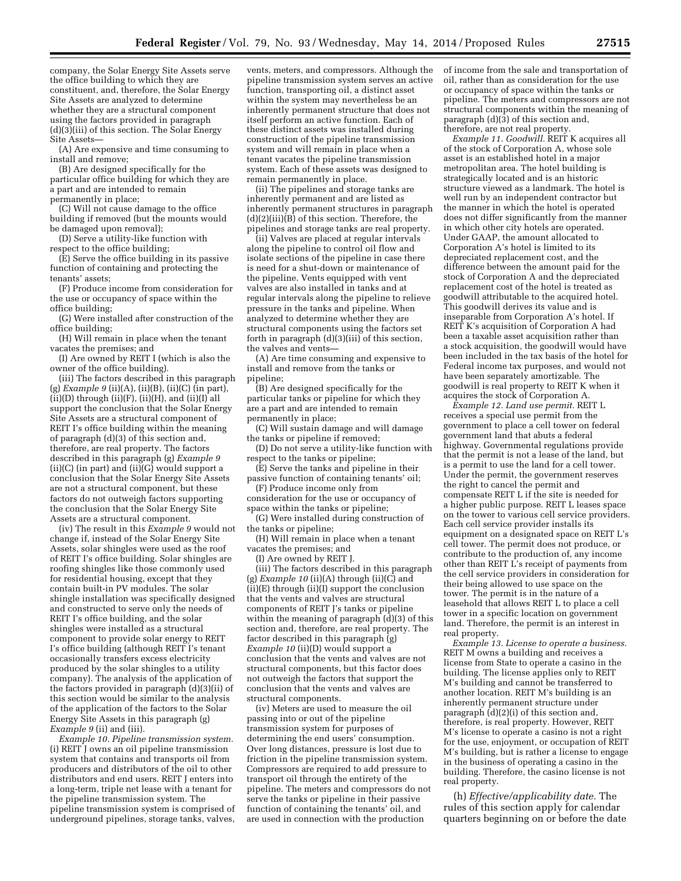company, the Solar Energy Site Assets serve the office building to which they are constituent, and, therefore, the Solar Energy Site Assets are analyzed to determine whether they are a structural component using the factors provided in paragraph (d)(3)(iii) of this section. The Solar Energy Site Assets—

(A) Are expensive and time consuming to install and remove;

(B) Are designed specifically for the particular office building for which they are a part and are intended to remain permanently in place;

(C) Will not cause damage to the office building if removed (but the mounts would be damaged upon removal);

(D) Serve a utility-like function with respect to the office building;

(E) Serve the office building in its passive function of containing and protecting the tenants' assets;

(F) Produce income from consideration for the use or occupancy of space within the office building;

(G) Were installed after construction of the office building;

(H) Will remain in place when the tenant vacates the premises; and

(I) Are owned by REIT I (which is also the owner of the office building).

(iii) The factors described in this paragraph (g) *Example 9* (ii)(A), (ii)(B), (ii)(C) (in part), (ii)(D) through (ii)(F), (ii)(H), and (ii)(I) all support the conclusion that the Solar Energy Site Assets are a structural component of REIT I's office building within the meaning of paragraph (d)(3) of this section and, therefore, are real property. The factors described in this paragraph (g) *Example 9*  (ii)(C) (in part) and (ii)(G) would support a conclusion that the Solar Energy Site Assets are not a structural component, but these factors do not outweigh factors supporting the conclusion that the Solar Energy Site Assets are a structural component.

(iv) The result in this *Example 9* would not change if, instead of the Solar Energy Site Assets, solar shingles were used as the roof of REIT I's office building. Solar shingles are roofing shingles like those commonly used for residential housing, except that they contain built-in PV modules. The solar shingle installation was specifically designed and constructed to serve only the needs of REIT I's office building, and the solar shingles were installed as a structural component to provide solar energy to REIT I's office building (although REIT I's tenant occasionally transfers excess electricity produced by the solar shingles to a utility company). The analysis of the application of the factors provided in paragraph (d)(3)(ii) of this section would be similar to the analysis of the application of the factors to the Solar Energy Site Assets in this paragraph (g) *Example 9* (ii) and (iii).

*Example 10. Pipeline transmission system.*  (i) REIT J owns an oil pipeline transmission system that contains and transports oil from producers and distributors of the oil to other distributors and end users. REIT J enters into a long-term, triple net lease with a tenant for the pipeline transmission system. The pipeline transmission system is comprised of underground pipelines, storage tanks, valves,

vents, meters, and compressors. Although the pipeline transmission system serves an active function, transporting oil, a distinct asset within the system may nevertheless be an inherently permanent structure that does not itself perform an active function. Each of these distinct assets was installed during construction of the pipeline transmission system and will remain in place when a tenant vacates the pipeline transmission system. Each of these assets was designed to remain permanently in place.

(ii) The pipelines and storage tanks are inherently permanent and are listed as inherently permanent structures in paragraph (d)(2)(iii)(B) of this section. Therefore, the pipelines and storage tanks are real property.

(ii) Valves are placed at regular intervals along the pipeline to control oil flow and isolate sections of the pipeline in case there is need for a shut-down or maintenance of the pipeline. Vents equipped with vent valves are also installed in tanks and at regular intervals along the pipeline to relieve pressure in the tanks and pipeline. When analyzed to determine whether they are structural components using the factors set forth in paragraph (d)(3)(iii) of this section, the valves and vents—

(A) Are time consuming and expensive to install and remove from the tanks or pipeline;

(B) Are designed specifically for the particular tanks or pipeline for which they are a part and are intended to remain permanently in place;

(C) Will sustain damage and will damage the tanks or pipeline if removed;

(D) Do not serve a utility-like function with respect to the tanks or pipeline;

(E) Serve the tanks and pipeline in their passive function of containing tenants' oil;

(F) Produce income only from consideration for the use or occupancy of space within the tanks or pipeline;

(G) Were installed during construction of the tanks or pipeline;

(H) Will remain in place when a tenant vacates the premises; and

(I) Are owned by REIT J.

(iii) The factors described in this paragraph (g) *Example 10* (ii)(A) through (ii)(C) and (ii)(E) through (ii)(I) support the conclusion that the vents and valves are structural components of REIT J's tanks or pipeline within the meaning of paragraph (d)(3) of this section and, therefore, are real property. The factor described in this paragraph (g) *Example 10* (ii)(D) would support a conclusion that the vents and valves are not structural components, but this factor does not outweigh the factors that support the conclusion that the vents and valves are structural components.

(iv) Meters are used to measure the oil passing into or out of the pipeline transmission system for purposes of determining the end users' consumption. Over long distances, pressure is lost due to friction in the pipeline transmission system. Compressors are required to add pressure to transport oil through the entirety of the pipeline. The meters and compressors do not serve the tanks or pipeline in their passive function of containing the tenants' oil, and are used in connection with the production

of income from the sale and transportation of oil, rather than as consideration for the use or occupancy of space within the tanks or pipeline. The meters and compressors are not structural components within the meaning of paragraph (d)(3) of this section and, therefore, are not real property.

*Example 11. Goodwill.* REIT K acquires all of the stock of Corporation A, whose sole asset is an established hotel in a major metropolitan area. The hotel building is strategically located and is an historic structure viewed as a landmark. The hotel is well run by an independent contractor but the manner in which the hotel is operated does not differ significantly from the manner in which other city hotels are operated. Under GAAP, the amount allocated to Corporation A's hotel is limited to its depreciated replacement cost, and the difference between the amount paid for the stock of Corporation A and the depreciated replacement cost of the hotel is treated as goodwill attributable to the acquired hotel. This goodwill derives its value and is inseparable from Corporation A's hotel. If REIT K's acquisition of Corporation A had been a taxable asset acquisition rather than a stock acquisition, the goodwill would have been included in the tax basis of the hotel for Federal income tax purposes, and would not have been separately amortizable. The goodwill is real property to REIT K when it acquires the stock of Corporation A.

*Example 12. Land use permit.* REIT L receives a special use permit from the government to place a cell tower on federal government land that abuts a federal highway. Governmental regulations provide that the permit is not a lease of the land, but is a permit to use the land for a cell tower. Under the permit, the government reserves the right to cancel the permit and compensate REIT L if the site is needed for a higher public purpose. REIT L leases space on the tower to various cell service providers. Each cell service provider installs its equipment on a designated space on REIT L's cell tower. The permit does not produce, or contribute to the production of, any income other than REIT L's receipt of payments from the cell service providers in consideration for their being allowed to use space on the tower. The permit is in the nature of a leasehold that allows REIT L to place a cell tower in a specific location on government land. Therefore, the permit is an interest in real property.

*Example 13. License to operate a business.*  REIT M owns a building and receives a license from State to operate a casino in the building. The license applies only to REIT M's building and cannot be transferred to another location. REIT M's building is an inherently permanent structure under paragraph (d)(2)(i) of this section and, therefore, is real property. However, REIT M's license to operate a casino is not a right for the use, enjoyment, or occupation of REIT M's building, but is rather a license to engage in the business of operating a casino in the building. Therefore, the casino license is not real property.

(h) *Effective/applicability date.* The rules of this section apply for calendar quarters beginning on or before the date